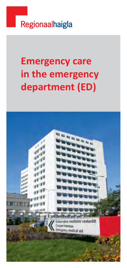

# **Emergency care in the emergency department (ED)**

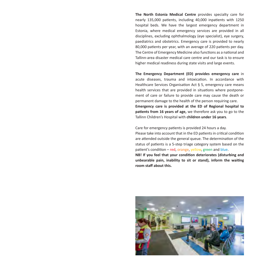**The North Estonia Medical Centre** provides specialty care for nearly 135,000 patients, including 40,000 inpatients with 1250 hospital beds. We have the largest emergency department in Estonia, where medical emergency services are provided in all disciplines, excluding ophthalmology (eye specialist), eye surgery, paediatrics and obstetrics. Emergency care is provided to nearly 80,000 patients per year, with an average of 220 patients per day. The Centre of Emergency Medicine also functions as a national and Tallinn-area disaster medical care centre and our task is to ensure higher medical readiness during state visits and large events.

**The Emergency Department (ED) provides emergency care** in acute diseases, trauma and intoxication. In accordance with Healthcare Services Organisation Act § 5, emergency care means health services that are provided in situations where postponement of care or failure to provide care may cause the death or permanent damage to the health of the person requiring care. **Emergency care is provided at the ED of Regional hospital to patients from 16 years of age,** we therefore ask you to go to the Tallinn Children's Hospital with **children under 16 years**.

Care for emergency patients is provided 24 hours a day.

Please take into account that in the ED patients in critical condition are attended outside the general queue. The determination of the status of patients is a 5-step triage category system based on the patient's condition – red, orange, yellow, green and blue.

**NB! If you feel that your condition deteriorates (disturbing and unbearable pain, inability to sit or stand), inform the waiting room staff about this.** 

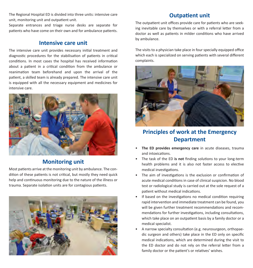The Regional Hospital ED is divided into three units: intensive care unit, monitoring unit and outpatient unit.

Separate entrances and triage nurse desks are separate for patients who have come on their own and for ambulance patients.

## **Intensive care unit**

The intensive care unit provides necessary initial treatment and diagnostic procedures for the stabilisation of patients in critical conditions. In most cases the hospital has received information about a patient in a critical condition from the ambulance or reanimation team beforehand and upon the arrival of the patient, a skilled team is already prepared. The intensive care unit is equipped with all the necessary equipment and medicines for intensive care.



# **Monitoring unit**

Most patients arrive at the monitoring unit by ambulance. The condition of these patients is not critical, but mostly they need quick help and continuous monitoring due to the nature of the illness or trauma. Separate isolation units are for contagious patients.



## **Outpatient unit**

The outpatient unit offices provide care for patients who are seeking inevitable care by themselves or with a referral letter from a doctor as well as patients in milder conditions who have arrived by ambulance.

The visits to a physician take place in four specially equipped office which each is specialized on serving patients with several different complaints.



**Principles of work at the Emergency Department**

- The ED provides emergency care in acute diseases, trauma and intoxications.
- The task of the ED **is not** finding solutions to your long-term health problems and it is also not faster access to elective medical investigations.
- The aim of investigations is the exclusion or confirmation of acute medical conditions in case of clinical suspicion. No blood test or radiological study is carried out at the sole request of a patient without medical indications.
- If based on the investigations no medical condition requiring rapid intervention and immediate treatment can be found, you will be given further treatment recommendations and recommendations for further investigations, including consultations, which take place on an outpatient basis by a family doctor or a medical specialist.
- A narrow specialty consultation (e.g. neurosurgeon, orthopaedic surgeon and others) take place in the ED only on specific medical indications, which are determined during the visit to the ED doctor and do not rely on the referral letter from a family doctor or the patient's or relatives' wishes.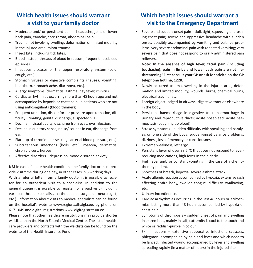# **Which health issues should warrant a visit to your family doctor**

- Moderate and/ or persistent pain headache, joint or lower back pain, earache, sore throat, abdominal pain.
- Trauma not involving swelling, deformation or limited mobility in the injured area; minor trauma.
- Insect bite, including tick bites.
- Blood in stool; threads of blood in sputum; frequent nosebleed episodes.
- Infectious diseases of the upper respiratory system (cold, cough, etc.).
- Stomach viruses or digestive complaints (nausea, vomiting, heartburn, stomach-ache, diarrhoea, etc.).
- Allergy symptoms (dermatitis, asthma, hay fever, rhinitis).
- Cardiac arrhythmias occurring more than 48 hours ago and not accompanied by hypoxia or chest pain, in patients who are not using anticoagulants (blood thinners).
- Frequent urination, discomfort or pressure upon urination, difficulty urinating, genital discharge, suspected STD.
- Decline in visual acuity, discharge from eyes, eye infection.
- Decline in auditory sense, noise/ sounds in ear, discharge from ear.
- Flare-up of chronic illnesses (high arterial blood pressure, etc.).
- Subcutaneous infections (boils, etc.); rosacea, dermatitis; chronic ulcers; herpes.
- Affective disorders depression, mood disorder, anxiety.

**NB!** In case of acute health conditions the family doctor must provide visit time during one day, in other cases in 5 working days. With a referral letter from a family doctor it is possible to register for an outpatient visit to a specialist. In addition to the general queue it is possible to register for a paid visit (including ear-nose-throat specialist, orthopaedic surgeon, neurologist, etc.). Information about visits to medical specialists can be found on the hospital's website www.regionaalhaigla.ee, by phone on 617 1049 and digital registrations www.digiregistratuur.ee.

Please note that other healthcare institutions may provide shorter waitlists than the North Estonia Medical Centre. The list of healthcare providers and contacts with the waitlists can be found on the website of the Health Insurance Fund.

# **Which health issues should warrant a visit to the Emergency Department**

• Severe and sudden-onset pain – dull, tight, squeezing or crushing chest pain; severe and oppressive headache with sudden onset, possibly accompanied by vomiting and balance problems; very severe abdominal pain with repeated vomiting; very severe pain that does not respond to orally administered pain relievers.

**Note: In the absence of high fever, facial pain (including toothache), pain in limbs and lower back pain are not lifethreatening! First consult your GP or ask for advice on the GP telephone hotline, 1220.**

- Newly occurred trauma, swelling in the injured area, deformation and limited mobility, wounds, burns, chemical burns, electrical trauma, etc.
- Foreign object lodged in airways, digestive tract or elsewhere in the body.
- Persistent haemorrhage in digestive tract; haemorrhage in urinary and reproductive ducts; acute nosebleed; acute haemoptysis (coughing up blood).
- Stroke symptoms sudden difficulty with speaking and paralysis on one side of the body, sudden-onset balance problems, dizziness, loss of memory or consciousness.
- Extreme weakness, lethargy.
- Persistent fever of over 38.5 °C that does not respond to feverreducing medications, high fever in the elderly.
- High fever and/ or constant vomiting in the case of a chemotherapy patient.
- Shortness of breath, hypoxia, severe asthma attack.
- Acute allergic reaction accompanied by hypoxia, extensive rash affecting entire body, swollen tongue, difficulty swallowing, etc.
- Urinary incontinence.
- Cardiac arrhythmias occurring in the last 48 hours or arrhythmias lasting more than 48 hours accompanied by hypoxia or chest pain.
- Symptoms of thrombosis sudden onset of pain and swelling in extremities, mainly in calf; extremity is cool to the touch and white or reddish-purple in colour.
- Skin infections extensive suppurative infections (abscess, phlegmon) accompanied by pain and fever and which need to be lanced; infected wound accompanied by fever and swelling spreading rapidly (in a matter of hours) in the injured site.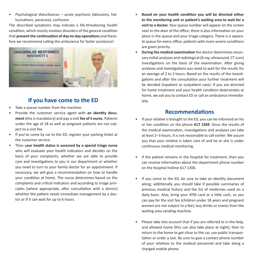• Psychological disturbances – acute psychosis (delusions, hallucinations, paranoia); confusion.

The described symptoms may indicate a life-threatening health condition, which mostly involves disorders of the general condition that **prevent the continuation of day-to-day operations** and therefore we recommend calling the ambulance for faster assistance!



# **If you have come to the ED**

- Take a queue number from the machine.
- Provide the customer service agent with **an identity document** (this is mandatory) and pay a visit **fee of 5 euros**. Patients under the age of 18 as well as pregnant patients are not subject to a visit fee.
- If you've come by car to the ED, register your parking ticket at the customer service.
- Then y**our health status is assessed by a special triage nurse** who will evaluate your health indicators and decides on the basis of your complaints, whether we are able to provide care and investigations to you in our department or whether you need to turn to your family doctor for an appointment. If necessary, we will give a recommendation on how to handle your condition at home. The nurse determines based on the complaints and critical indicators and according to triage principles (where appropriate, after consultation with a doctor) whether the patient needs immediate management by a doctor or if it can wait for up to 6 hours.
- **Based on your health condition you will be directed either to the monitoring unit or patient's waiting area to wait for a visit to a doctor.** Your queue number will appear on the screen next to the door of the office; there is also information on your place in the queue and your triage category. There is a separate queue for every office; patients with more severe conditions are given priority.
- **During the medical examination** the doctor determines necessary initial analyses and radiological (X-ray, ultrasound, CT scan) investigations on the basis of the examination. After giving analyses and investigations you need to wait for the results for an average of 2 to 3 hours. Based on the results of the investigations and after the consultation your further treatment will be decided (inpatient or outpatient care). If you are directed for home treatment and your health condition deteriorates at home, we ask you to contact ED or call an ambulance immediately.

## **Recommendations**

- If your relative is brought to the ED, you can be informed on his or her condition on the phone **617 1369**. Since the results of the medical examination, investigations and analyses can take at least 2–3 hours, it is not reasonable to call earlier. We assure you that your relative is taken care of and he or she is under continuous medical monitoring.
- If the patient remains in the hospital for treatment, then you can receive information about the department phone number on the hospital hotline 617 1300.
- If you come to the ED, be sure to take an identity document along; additionally you should take if possible summaries of previous medical history and the list of medicines used on a daily basis. Also, bring your ATM card or a little cash, so you can pay for the visit fee (children under 18 years and pregnant women are not subject to a fee), buy drinks or snacks from the waiting area vending machine.
- Please take into account that if you are referred to in the help, and allowed home (this can also take place at night), then to return to the home to get close to the car, use public transportation or order a taxi. Be sure to give a contact phone number of your relatives to the medical personnel and take along a charged mobile phone.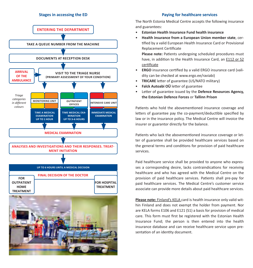## **Stages in accessing the ED**



## **Paying for healthcare services**

The North Estonia Medical Centre accepts the following insurance and guarantees:

- **Estonian Health Insurance Fund health insurance**
- **Health insurance from a European Union member state**, certified by a valid European Health Insurance Card or Provisional Replacement Certificate

**Please note:** Patients undergoing scheduled procedures must have, in addition to the Health Insurance Card, an **E112 or S2** certificate

- **ERGO** insurance certified by a valid ERGO insurance card (validity can be checked at www.ergo.ee/raviabi)
- **TRICARE** letter of guarantee (US/NATO military)
- **Falck Autoabi OÜ** letter of guarantee
- Letter of guarantee issued by the **Defence Resources Agency, the Estonian Defence Forces** or **Tallinn Prison**

Patients who hold the abovementioned insurance coverage and letters of guarantee pay the co-payment/deductible specified by law or in the insurance policy. The Medical Centre will invoice the insurer or guarantor directly for the balance.

Patients who lack the abovementioned insurance coverage or letter of guarantee shall be provided healthcare services based on the general terms and conditions for provision of paid healthcare services.

Paid healthcare service shall be provided to anyone who expresses a corresponding desire, lacks contraindications for receiving healthcare and who has agreed with the Medical Centre on the provision of paid healthcare services. Patients shall pre-pay for paid healthcare services. The Medical Centre's customer service associate can provide more details about paid healthcare services.

**Please note:** Finland's KELA card is health insurance only valid within Finland and does not exempt the holder from payment. Nor are KELA forms E106 and E121 (S1) a basis for provision of medical care. This form must first be registered with the Estonian Health Insurance Fund; the person is then entered into the health insurance database and can receive healthcare service upon presentation of an identity document.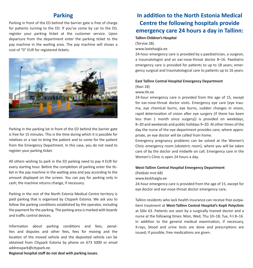## **Parking**

Parking in front of the ED behind the barrier gate is free of charge for patients turning to the ED. If you've come by car to the ED, register your parking ticket at the customer service. Upon departure from the department enter the parking ticket to the pay machine in the waiting area. The pay machine will shows a cost of "0" EUR for registered tickets.



Parking in the parking lot in front of the ED behind the barrier gate is free for 15 minutes. This is the time during which it is possible for relatives or a taxi to bring the patient and to come for the patient from the Emergency Department. In this case, you do not need to register your parking ticket.

All others wishing to park in the ED parking need to pay 4 EUR for every starting hour. Before the completion of parking enter the ticket in the pay machine in the waiting area and pay according to the amount displayed on the screen. You can pay for parking only in cash; the machine returns change, if necessary.

Parking in the rest of the North Estonia Medical Centre territory is paid parking that is organised by Citypark Estonia. We ask you to follow the parking conditions established by the operator, including the payment for the parking. The parking area is marked with boards and traffic control devices.

Information about parking conditions and fees, penalties and disputes and other fees, fees for moving and the location of the moved vehicle and the deposited vehicle can be obtained from Citypark Estonia by phone on 673 5000 or email addresspark@citypark.ee.

**In addition to the North Estonia Medical Centre the following hospitals provide emergency care 24 hours a day in Tallinn:**

### **Tallinn Children's Hospital**

(Tervise 28).

www.lastehaigla.ee

24-hour emergency care is provided by a paediatrician, a surgeon, a traumatologist and an ear-nose-throat doctor 8–16. Paediatric emergency care is provided for patients to up to 18 years; emergency surgical and traumatological care to patients up to 16 years.

## **East Tallinn Central Hospital Emergency Department**

(Ravi 18)

### www.itk.ee

24-hour emergency care is provided from the age of 15, except for ear-nose-throat doctor visits. Emergency eye care (eye trauma, eye chemical burns, eye burns, sudden changes in vision, rapid deterioration of vision after eye surgery (if there has been less than 1 month since surgery)) is provided on weekdays, 8–20 and weekends and public holidays 9–20. At other times of the day the nurse of the eye department provides care; where appropriate, an eye doctor will be called from home.

Emergency pregnancy problems can be solved at the Women's Clinic emergency room (obstetric room), where you will be taken care of by the doctor and midwife on call. Emergency care in the Women's Clinic is open 24 hours a day.

#### **West-Tallinn Central Hospital Emergency Department**

(Paldiski mnt 68)

www.keskhaigla.ee

24-hour emergency care is provided from the age of 15, except for eye doctor and ear-nose-throat doctor emergency care**.**

Tallinn residents who lack health insurance can receive free outpatient treatment at **West-Tallinn Central Hospital's Kopli Polyclinic** at Sõle 63. Patients are seen by a surgically trained doctor and a nurse at the following times: Mon, Wed, Thu 10–18; Tue, Fri 8–16 In addition to the general medical examination, if necessary, X-rays, blood and urine tests are done and prescriptions are issued; if possible, free medications are given.

**Regional hospital staff do not deal with parking issues.**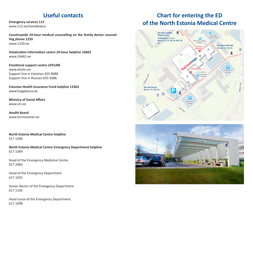## **Useful contacts**

**Emergency services 112** www.112.ee/hairekeskus

**Countrywide 24-hour medical counselling on the family doctor counselling phone 1220** www.1220.ee

**Intoxication information centre 24-hour helpline 16662** www.16662.ee

**Emotional support centre LIFELINE** www.eluliin.ee Support line in Estonian 655 8088 Support line in Russian 655 5688

**Estonian Health Insurance Fund helpline 13363** www.haigekassa.ee

**Ministry of Social Affairs**  www.sm.ee

**Health Board**  www.terviseamet.ee

**North Estonia Medical Centre helpline** 617 1300

**North Estonia Medical Centre Emergency Department helpline**  617 1369

Head of the Emergency Medicine Centre 617 2066

Head of the Emergency Department 617 1035

Senior doctor of the Emergency Department 617 1104

Head nurse of the Emergency Department 617 1098

## **Point Policing** the Little Regional Contract Regional Contract Regional Contract Regional Contract Regional Contract Regional Contract Regional Contract Regional Contract Regional Contract Regional Contract Regional Contr of the North Estonia Medical Centre **Chart for entering the ED**